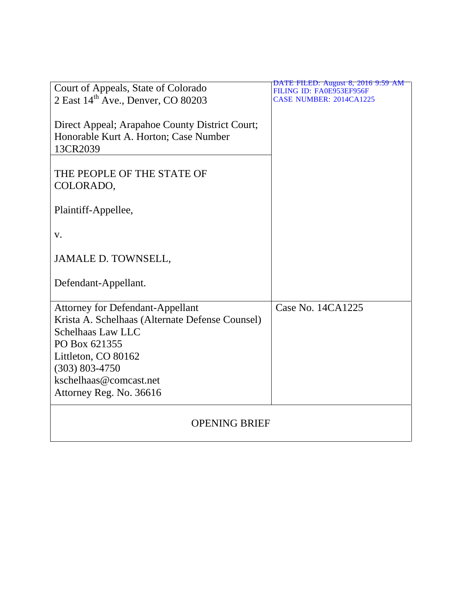| Court of Appeals, State of Colorado             | DATE FILED: August 8, 2016 9:59 AM<br>FILING ID: FA0E953EF956F |
|-------------------------------------------------|----------------------------------------------------------------|
| 2 East 14 <sup>th</sup> Ave., Denver, CO 80203  | <b>CASE NUMBER: 2014CA1225</b>                                 |
|                                                 |                                                                |
| Direct Appeal; Arapahoe County District Court;  |                                                                |
| Honorable Kurt A. Horton; Case Number           |                                                                |
| 13CR2039                                        |                                                                |
|                                                 |                                                                |
| THE PEOPLE OF THE STATE OF                      |                                                                |
| COLORADO,                                       |                                                                |
|                                                 |                                                                |
|                                                 |                                                                |
| Plaintiff-Appellee,                             |                                                                |
|                                                 |                                                                |
| V.                                              |                                                                |
|                                                 |                                                                |
| <b>JAMALE D. TOWNSELL,</b>                      |                                                                |
|                                                 |                                                                |
| Defendant-Appellant.                            |                                                                |
|                                                 |                                                                |
| <b>Attorney for Defendant-Appellant</b>         | Case No. 14CA1225                                              |
| Krista A. Schelhaas (Alternate Defense Counsel) |                                                                |
| <b>Schelhaas Law LLC</b>                        |                                                                |
| PO Box 621355                                   |                                                                |
| Littleton, CO 80162                             |                                                                |
| $(303) 803 - 4750$                              |                                                                |
| kschelhaas@comcast.net                          |                                                                |
| Attorney Reg. No. 36616                         |                                                                |
|                                                 |                                                                |
|                                                 |                                                                |
| <b>OPENING BRIEF</b>                            |                                                                |
|                                                 |                                                                |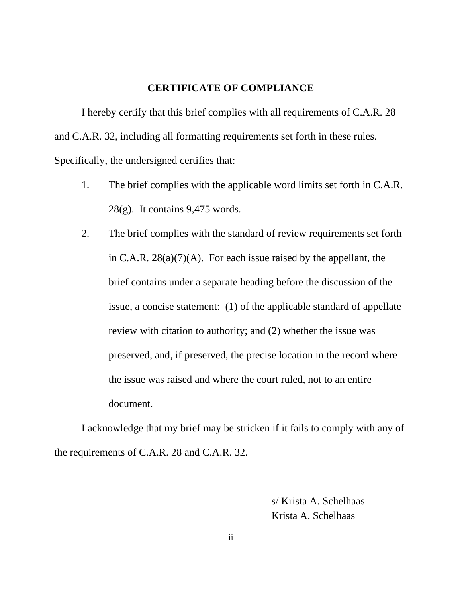### **CERTIFICATE OF COMPLIANCE**

I hereby certify that this brief complies with all requirements of C.A.R. 28 and C.A.R. 32, including all formatting requirements set forth in these rules. Specifically, the undersigned certifies that:

- 1. The brief complies with the applicable word limits set forth in C.A.R. 28(g). It contains 9,475 words.
- 2. The brief complies with the standard of review requirements set forth in C.A.R.  $28(a)(7)(A)$ . For each issue raised by the appellant, the brief contains under a separate heading before the discussion of the issue, a concise statement: (1) of the applicable standard of appellate review with citation to authority; and (2) whether the issue was preserved, and, if preserved, the precise location in the record where the issue was raised and where the court ruled, not to an entire document.

I acknowledge that my brief may be stricken if it fails to comply with any of the requirements of C.A.R. 28 and C.A.R. 32.

> s/ Krista A. Schelhaas Krista A. Schelhaas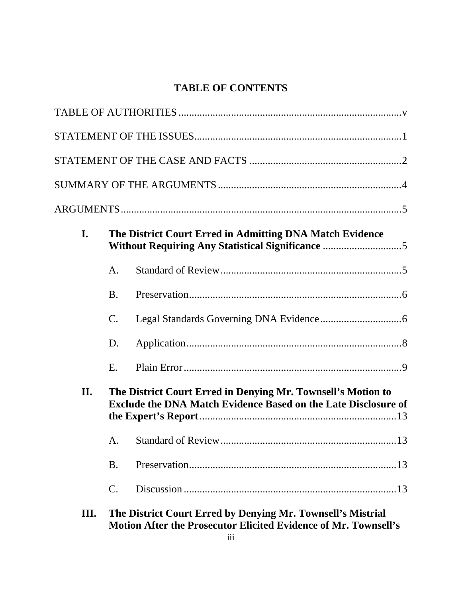## **TABLE OF CONTENTS**

| I.  |                 | The District Court Erred in Admitting DNA Match Evidence                                                                              |
|-----|-----------------|---------------------------------------------------------------------------------------------------------------------------------------|
|     | A.              |                                                                                                                                       |
|     | <b>B.</b>       |                                                                                                                                       |
|     | $\mathbf{C}$ .  |                                                                                                                                       |
|     | D.              |                                                                                                                                       |
|     | E.              |                                                                                                                                       |
| II. |                 | The District Court Erred in Denying Mr. Townsell's Motion to<br><b>Exclude the DNA Match Evidence Based on the Late Disclosure of</b> |
|     |                 |                                                                                                                                       |
|     | <b>B.</b>       |                                                                                                                                       |
|     | $\mathcal{C}$ . |                                                                                                                                       |
| Ш.  |                 | The District Court Erred by Denying Mr. Townsell's Mistrial                                                                           |

**Motion After the Prosecutor Elicited Evidence of Mr. Townsell's**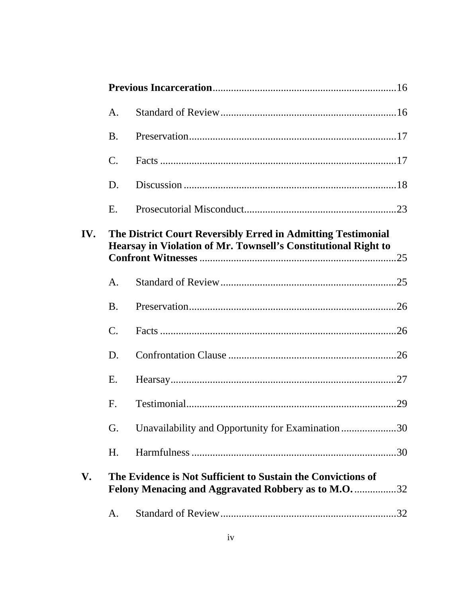|     | A.              |                                                                                                                                |  |
|-----|-----------------|--------------------------------------------------------------------------------------------------------------------------------|--|
|     | <b>B.</b>       |                                                                                                                                |  |
|     | $\mathbf{C}$ .  |                                                                                                                                |  |
|     | D.              |                                                                                                                                |  |
|     | E.              |                                                                                                                                |  |
| IV. |                 | The District Court Reversibly Erred in Admitting Testimonial<br>Hearsay in Violation of Mr. Townsell's Constitutional Right to |  |
|     | $\mathsf{A}.$   |                                                                                                                                |  |
|     | <b>B.</b>       |                                                                                                                                |  |
|     | $\mathcal{C}$ . |                                                                                                                                |  |
|     | D.              |                                                                                                                                |  |
|     | E.              |                                                                                                                                |  |
|     | $F_{\cdot}$     |                                                                                                                                |  |
|     | G.              | Unavailability and Opportunity for Examination30                                                                               |  |
|     | H.              |                                                                                                                                |  |
| V.  |                 | The Evidence is Not Sufficient to Sustain the Convictions of<br>Felony Menacing and Aggravated Robbery as to M.O32             |  |
|     | A.              |                                                                                                                                |  |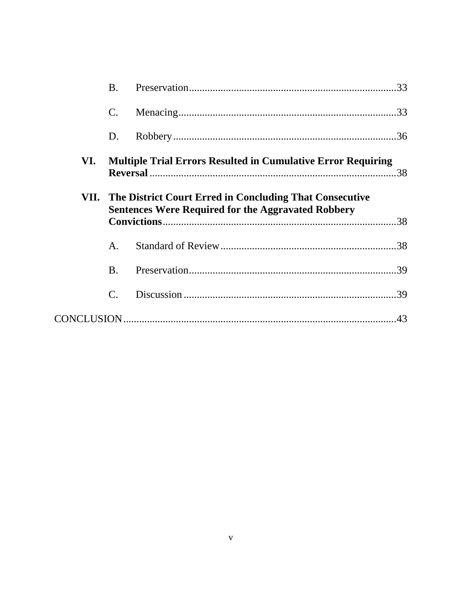|     | <b>B.</b>      |                                                                                                                           |  |
|-----|----------------|---------------------------------------------------------------------------------------------------------------------------|--|
|     | $\mathbf{C}$ . |                                                                                                                           |  |
|     | D.             |                                                                                                                           |  |
| VI. |                | <b>Multiple Trial Errors Resulted in Cumulative Error Requiring</b>                                                       |  |
|     |                | VII. The District Court Erred in Concluding That Consecutive<br><b>Sentences Were Required for the Aggravated Robbery</b> |  |
|     | A.             |                                                                                                                           |  |
|     | <b>B.</b>      |                                                                                                                           |  |
|     | $\mathbf{C}$ . |                                                                                                                           |  |
|     |                |                                                                                                                           |  |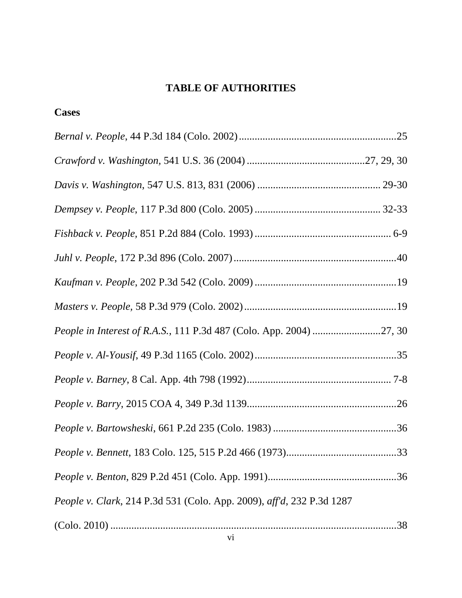### **Cases**

| People in Interest of R.A.S., 111 P.3d 487 (Colo. App. 2004) 27, 30   |  |
|-----------------------------------------------------------------------|--|
|                                                                       |  |
|                                                                       |  |
|                                                                       |  |
|                                                                       |  |
|                                                                       |  |
|                                                                       |  |
| People v. Clark, 214 P.3d 531 (Colo. App. 2009), aff'd, 232 P.3d 1287 |  |
|                                                                       |  |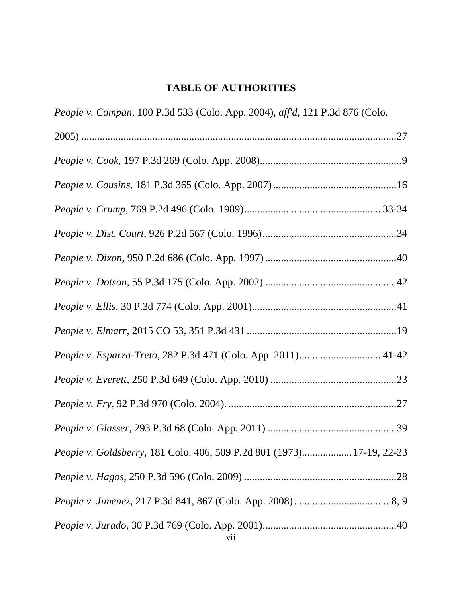| People v. Compan, 100 P.3d 533 (Colo. App. 2004), aff'd, 121 P.3d 876 (Colo. |
|------------------------------------------------------------------------------|
|                                                                              |
|                                                                              |
|                                                                              |
|                                                                              |
|                                                                              |
|                                                                              |
|                                                                              |
|                                                                              |
|                                                                              |
| People v. Esparza-Treto, 282 P.3d 471 (Colo. App. 2011) 41-42                |
|                                                                              |
|                                                                              |
|                                                                              |
| People v. Goldsberry, 181 Colo. 406, 509 P.2d 801 (1973) 17-19, 22-23        |
|                                                                              |
|                                                                              |
|                                                                              |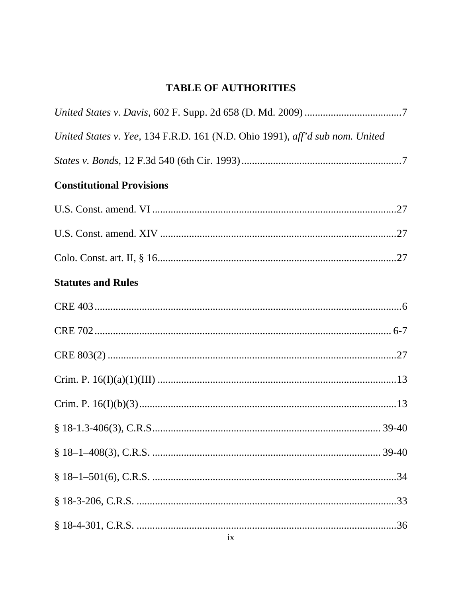| United States v. Yee, 134 F.R.D. 161 (N.D. Ohio 1991), aff'd sub nom. United |
|------------------------------------------------------------------------------|
|                                                                              |
| <b>Constitutional Provisions</b>                                             |
|                                                                              |
|                                                                              |
|                                                                              |
| <b>Statutes and Rules</b>                                                    |
|                                                                              |
|                                                                              |
|                                                                              |
|                                                                              |
|                                                                              |
|                                                                              |
|                                                                              |
|                                                                              |
|                                                                              |
|                                                                              |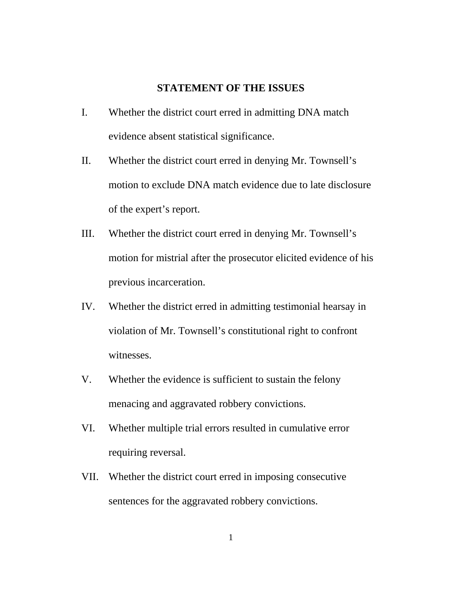### **STATEMENT OF THE ISSUES**

- I. Whether the district court erred in admitting DNA match evidence absent statistical significance.
- II. Whether the district court erred in denying Mr. Townsell's motion to exclude DNA match evidence due to late disclosure of the expert's report.
- III. Whether the district court erred in denying Mr. Townsell's motion for mistrial after the prosecutor elicited evidence of his previous incarceration.
- IV. Whether the district erred in admitting testimonial hearsay in violation of Mr. Townsell's constitutional right to confront witnesses.
- V. Whether the evidence is sufficient to sustain the felony menacing and aggravated robbery convictions.
- VI. Whether multiple trial errors resulted in cumulative error requiring reversal.
- VII. Whether the district court erred in imposing consecutive sentences for the aggravated robbery convictions.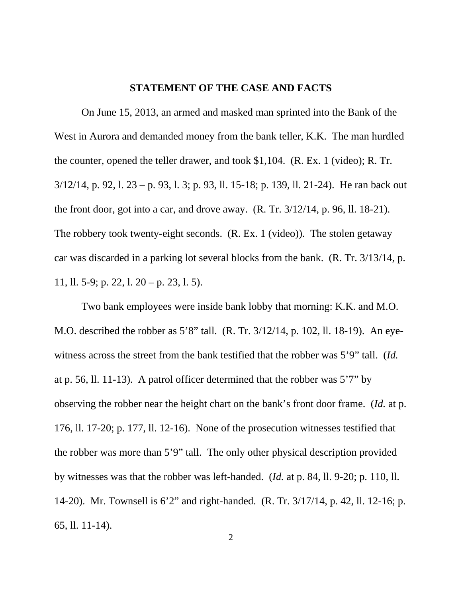### **STATEMENT OF THE CASE AND FACTS**

On June 15, 2013, an armed and masked man sprinted into the Bank of the West in Aurora and demanded money from the bank teller, K.K. The man hurdled the counter, opened the teller drawer, and took \$1,104. (R. Ex. 1 (video); R. Tr. 3/12/14, p. 92, l. 23 – p. 93, l. 3; p. 93, ll. 15-18; p. 139, ll. 21-24). He ran back out the front door, got into a car, and drove away. (R. Tr. 3/12/14, p. 96, ll. 18-21). The robbery took twenty-eight seconds. (R. Ex. 1 (video)). The stolen getaway car was discarded in a parking lot several blocks from the bank. (R. Tr. 3/13/14, p. 11, ll. 5-9; p. 22, l. 20 – p. 23, l. 5).

Two bank employees were inside bank lobby that morning: K.K. and M.O. M.O. described the robber as 5'8" tall. (R. Tr. 3/12/14, p. 102, ll. 18-19). An eyewitness across the street from the bank testified that the robber was 5'9" tall. (*Id.* at p. 56, ll. 11-13). A patrol officer determined that the robber was 5'7" by observing the robber near the height chart on the bank's front door frame. (*Id.* at p. 176, ll. 17-20; p. 177, ll. 12-16). None of the prosecution witnesses testified that the robber was more than 5'9" tall. The only other physical description provided by witnesses was that the robber was left-handed. (*Id.* at p. 84, ll. 9-20; p. 110, ll. 14-20). Mr. Townsell is 6'2" and right-handed. (R. Tr. 3/17/14, p. 42, ll. 12-16; p. 65, ll. 11-14).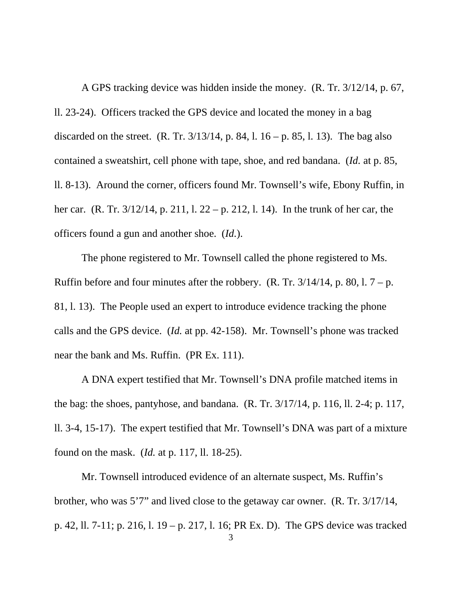A GPS tracking device was hidden inside the money. (R. Tr. 3/12/14, p. 67, ll. 23-24). Officers tracked the GPS device and located the money in a bag discarded on the street. (R. Tr.  $3/13/14$ , p. 84, l. 16 – p. 85, l. 13). The bag also contained a sweatshirt, cell phone with tape, shoe, and red bandana. (*Id.* at p. 85, ll. 8-13). Around the corner, officers found Mr. Townsell's wife, Ebony Ruffin, in her car. (R. Tr. 3/12/14, p. 211, l. 22 – p. 212, l. 14). In the trunk of her car, the officers found a gun and another shoe. (*Id.*).

The phone registered to Mr. Townsell called the phone registered to Ms. Ruffin before and four minutes after the robbery. (R. Tr.  $3/14/14$ , p. 80, l.  $7 - p$ . 81, l. 13). The People used an expert to introduce evidence tracking the phone calls and the GPS device. (*Id.* at pp. 42-158). Mr. Townsell's phone was tracked near the bank and Ms. Ruffin. (PR Ex. 111).

A DNA expert testified that Mr. Townsell's DNA profile matched items in the bag: the shoes, pantyhose, and bandana. (R. Tr. 3/17/14, p. 116, ll. 2-4; p. 117, ll. 3-4, 15-17). The expert testified that Mr. Townsell's DNA was part of a mixture found on the mask. (*Id.* at p. 117, ll. 18-25).

Mr. Townsell introduced evidence of an alternate suspect, Ms. Ruffin's brother, who was 5'7" and lived close to the getaway car owner. (R. Tr. 3/17/14, p. 42, ll. 7-11; p. 216, l. 19 – p. 217, l. 16; PR Ex. D). The GPS device was tracked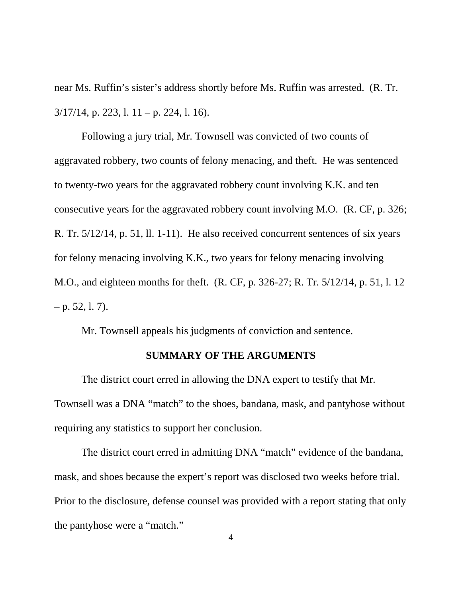near Ms. Ruffin's sister's address shortly before Ms. Ruffin was arrested. (R. Tr.  $3/17/14$ , p. 223, l. 11 – p. 224, l. 16).

Following a jury trial, Mr. Townsell was convicted of two counts of aggravated robbery, two counts of felony menacing, and theft. He was sentenced to twenty-two years for the aggravated robbery count involving K.K. and ten consecutive years for the aggravated robbery count involving M.O. (R. CF, p. 326; R. Tr. 5/12/14, p. 51, ll. 1-11). He also received concurrent sentences of six years for felony menacing involving K.K., two years for felony menacing involving M.O., and eighteen months for theft. (R. CF, p. 326-27; R. Tr. 5/12/14, p. 51, l. 12  $-$  p. 52, l. 7).

Mr. Townsell appeals his judgments of conviction and sentence.

### **SUMMARY OF THE ARGUMENTS**

The district court erred in allowing the DNA expert to testify that Mr. Townsell was a DNA "match" to the shoes, bandana, mask, and pantyhose without requiring any statistics to support her conclusion.

The district court erred in admitting DNA "match" evidence of the bandana, mask, and shoes because the expert's report was disclosed two weeks before trial. Prior to the disclosure, defense counsel was provided with a report stating that only the pantyhose were a "match."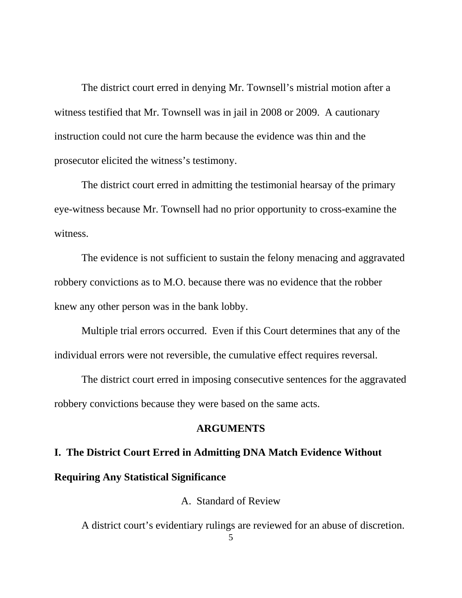The district court erred in denying Mr. Townsell's mistrial motion after a witness testified that Mr. Townsell was in jail in 2008 or 2009. A cautionary instruction could not cure the harm because the evidence was thin and the prosecutor elicited the witness's testimony.

The district court erred in admitting the testimonial hearsay of the primary eye-witness because Mr. Townsell had no prior opportunity to cross-examine the witness.

The evidence is not sufficient to sustain the felony menacing and aggravated robbery convictions as to M.O. because there was no evidence that the robber knew any other person was in the bank lobby.

Multiple trial errors occurred. Even if this Court determines that any of the individual errors were not reversible, the cumulative effect requires reversal.

The district court erred in imposing consecutive sentences for the aggravated robbery convictions because they were based on the same acts.

### **ARGUMENTS**

# **I. The District Court Erred in Admitting DNA Match Evidence Without Requiring Any Statistical Significance**

A. Standard of Review

A district court's evidentiary rulings are reviewed for an abuse of discretion.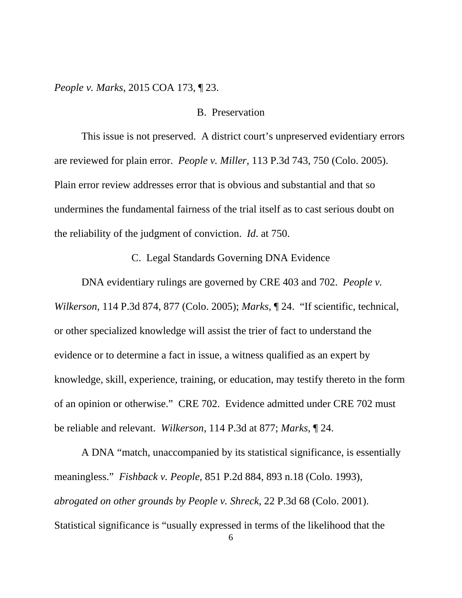*People v. Marks*, 2015 COA 173, ¶ 23.

### B. Preservation

This issue is not preserved. A district court's unpreserved evidentiary errors are reviewed for plain error. *People v. Miller*, 113 P.3d 743, 750 (Colo. 2005). Plain error review addresses error that is obvious and substantial and that so undermines the fundamental fairness of the trial itself as to cast serious doubt on the reliability of the judgment of conviction. *Id*. at 750.

C. Legal Standards Governing DNA Evidence

DNA evidentiary rulings are governed by CRE 403 and 702. *People v. Wilkerson*, 114 P.3d 874, 877 (Colo. 2005); *Marks*, ¶ 24. "If scientific, technical, or other specialized knowledge will assist the trier of fact to understand the evidence or to determine a fact in issue, a witness qualified as an expert by knowledge, skill, experience, training, or education, may testify thereto in the form of an opinion or otherwise." CRE 702. Evidence admitted under CRE 702 must be reliable and relevant. *Wilkerson*, 114 P.3d at 877; *Marks*, ¶ 24.

A DNA "match, unaccompanied by its statistical significance, is essentially meaningless." *Fishback v. People,* 851 P.2d 884, 893 n.18 (Colo. 1993), *abrogated on other grounds by People v. Shreck,* 22 P.3d 68 (Colo. 2001). Statistical significance is "usually expressed in terms of the likelihood that the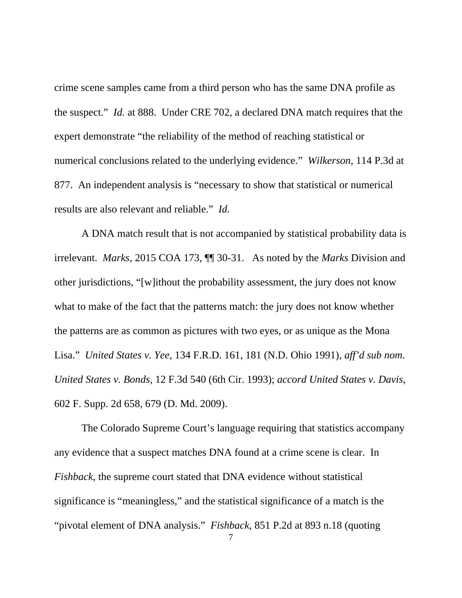crime scene samples came from a third person who has the same DNA profile as the suspect." *Id.* at 888. Under CRE 702, a declared DNA match requires that the expert demonstrate "the reliability of the method of reaching statistical or numerical conclusions related to the underlying evidence." *Wilkerson*, 114 P.3d at 877. An independent analysis is "necessary to show that statistical or numerical results are also relevant and reliable." *Id.*

A DNA match result that is not accompanied by statistical probability data is irrelevant. *Marks*, 2015 COA 173, ¶¶ 30-31. As noted by the *Marks* Division and other jurisdictions, "[w]ithout the probability assessment, the jury does not know what to make of the fact that the patterns match: the jury does not know whether the patterns are as common as pictures with two eyes, or as unique as the Mona Lisa." *United States v. Yee,* 134 F.R.D. 161, 181 (N.D. Ohio 1991), *aff'd sub nom. United States v. Bonds*, 12 F.3d 540 (6th Cir. 1993); *accord United States v. Davis*, 602 F. Supp. 2d 658, 679 (D. Md. 2009).

The Colorado Supreme Court's language requiring that statistics accompany any evidence that a suspect matches DNA found at a crime scene is clear. In *Fishback*, the supreme court stated that DNA evidence without statistical significance is "meaningless," and the statistical significance of a match is the "pivotal element of DNA analysis." *Fishback*, 851 P.2d at 893 n.18 (quoting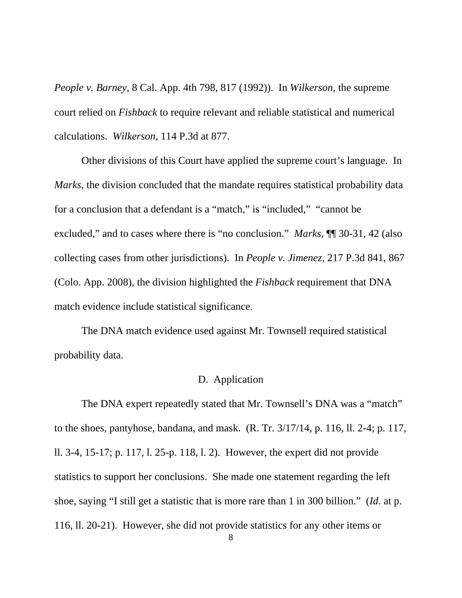*People v. Barney*, 8 Cal. App. 4th 798, 817 (1992)). In *Wilkerson*, the supreme court relied on *Fishback* to require relevant and reliable statistical and numerical calculations. *Wilkerson*, 114 P.3d at 877.

Other divisions of this Court have applied the supreme court's language. In *Marks*, the division concluded that the mandate requires statistical probability data for a conclusion that a defendant is a "match," is "included," "cannot be excluded," and to cases where there is "no conclusion." *Marks*, ¶¶ 30-31, 42 (also collecting cases from other jurisdictions). In *People v. Jimenez*, 217 P.3d 841, 867 (Colo. App. 2008), the division highlighted the *Fishback* requirement that DNA match evidence include statistical significance.

The DNA match evidence used against Mr. Townsell required statistical probability data.

### D. Application

The DNA expert repeatedly stated that Mr. Townsell's DNA was a "match" to the shoes, pantyhose, bandana, and mask. (R. Tr. 3/17/14, p. 116, ll. 2-4; p. 117, ll. 3-4, 15-17; p. 117, l. 25-p. 118, l. 2). However, the expert did not provide statistics to support her conclusions. She made one statement regarding the left shoe, saying "I still get a statistic that is more rare than 1 in 300 billion." (*Id.* at p. 116, ll. 20-21). However, she did not provide statistics for any other items or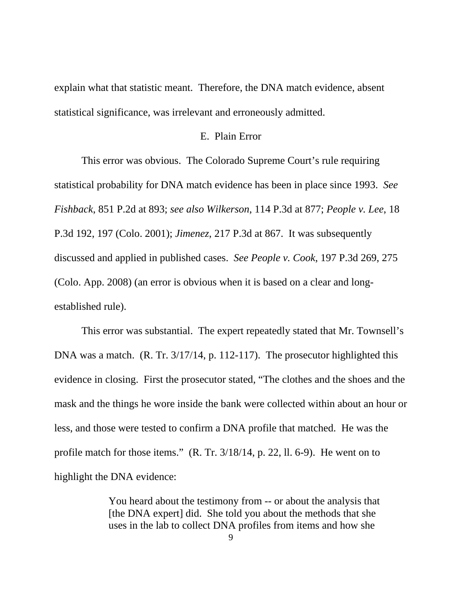explain what that statistic meant. Therefore, the DNA match evidence, absent statistical significance, was irrelevant and erroneously admitted.

### E. Plain Error

This error was obvious. The Colorado Supreme Court's rule requiring statistical probability for DNA match evidence has been in place since 1993. *See Fishback*, 851 P.2d at 893; *see also Wilkerson*, 114 P.3d at 877; *People v. Lee*, 18 P.3d 192, 197 (Colo. 2001); *Jimenez*, 217 P.3d at 867. It was subsequently discussed and applied in published cases. *See People v. Cook*, 197 P.3d 269, 275 (Colo. App. 2008) (an error is obvious when it is based on a clear and longestablished rule).

This error was substantial. The expert repeatedly stated that Mr. Townsell's DNA was a match. (R. Tr. 3/17/14, p. 112-117). The prosecutor highlighted this evidence in closing. First the prosecutor stated, "The clothes and the shoes and the mask and the things he wore inside the bank were collected within about an hour or less, and those were tested to confirm a DNA profile that matched. He was the profile match for those items." (R. Tr. 3/18/14, p. 22, ll. 6-9). He went on to highlight the DNA evidence:

> You heard about the testimony from -- or about the analysis that [the DNA expert] did. She told you about the methods that she uses in the lab to collect DNA profiles from items and how she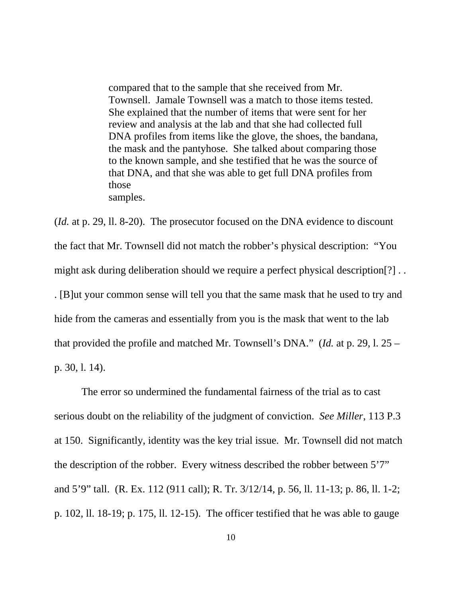compared that to the sample that she received from Mr. Townsell. Jamale Townsell was a match to those items tested. She explained that the number of items that were sent for her review and analysis at the lab and that she had collected full DNA profiles from items like the glove, the shoes, the bandana, the mask and the pantyhose. She talked about comparing those to the known sample, and she testified that he was the source of that DNA, and that she was able to get full DNA profiles from those samples.

(*Id.* at p. 29, ll. 8-20). The prosecutor focused on the DNA evidence to discount the fact that Mr. Townsell did not match the robber's physical description: "You might ask during deliberation should we require a perfect physical description[?] . . . [B]ut your common sense will tell you that the same mask that he used to try and hide from the cameras and essentially from you is the mask that went to the lab that provided the profile and matched Mr. Townsell's DNA." (*Id.* at p. 29, l. 25 – p. 30, l. 14).

The error so undermined the fundamental fairness of the trial as to cast serious doubt on the reliability of the judgment of conviction. *See Miller*, 113 P.3 at 150. Significantly, identity was the key trial issue. Mr. Townsell did not match the description of the robber. Every witness described the robber between 5'7" and 5'9" tall. (R. Ex. 112 (911 call); R. Tr. 3/12/14, p. 56, ll. 11-13; p. 86, ll. 1-2; p. 102, ll. 18-19; p. 175, ll. 12-15). The officer testified that he was able to gauge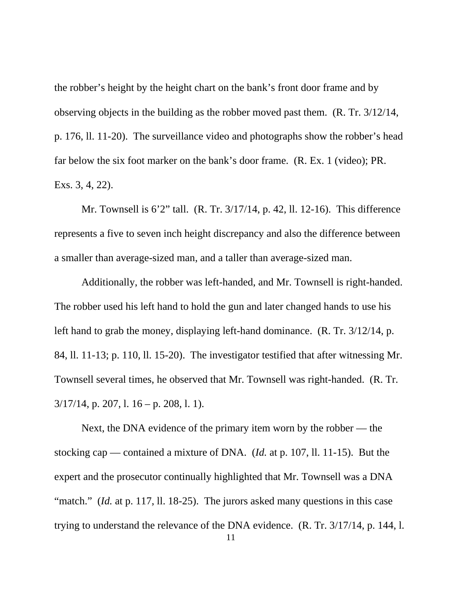the robber's height by the height chart on the bank's front door frame and by observing objects in the building as the robber moved past them. (R. Tr. 3/12/14, p. 176, ll. 11-20). The surveillance video and photographs show the robber's head far below the six foot marker on the bank's door frame. (R. Ex. 1 (video); PR. Exs. 3, 4, 22).

Mr. Townsell is 6'2" tall. (R. Tr. 3/17/14, p. 42, ll. 12-16). This difference represents a five to seven inch height discrepancy and also the difference between a smaller than average-sized man, and a taller than average-sized man.

Additionally, the robber was left-handed, and Mr. Townsell is right-handed. The robber used his left hand to hold the gun and later changed hands to use his left hand to grab the money, displaying left-hand dominance. (R. Tr. 3/12/14, p. 84, ll. 11-13; p. 110, ll. 15-20). The investigator testified that after witnessing Mr. Townsell several times, he observed that Mr. Townsell was right-handed. (R. Tr.  $3/17/14$ , p. 207, l. 16 – p. 208, l. 1).

Next, the DNA evidence of the primary item worn by the robber — the stocking cap — contained a mixture of DNA. (*Id.* at p. 107, ll. 11-15). But the expert and the prosecutor continually highlighted that Mr. Townsell was a DNA "match." *(Id.* at p. 117, 11. 18-25). The jurors asked many questions in this case trying to understand the relevance of the DNA evidence. (R. Tr. 3/17/14, p. 144, l.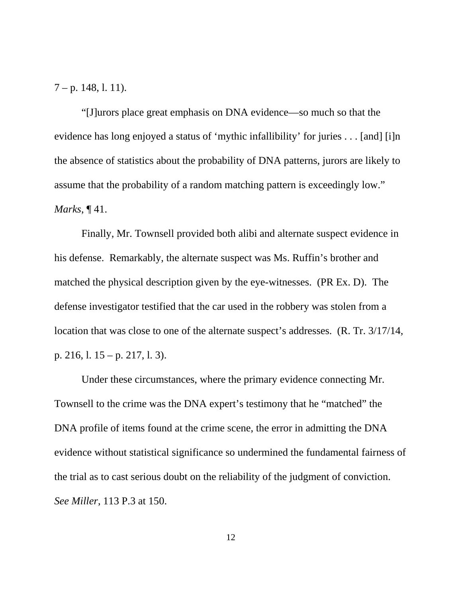$7 - p. 148, 1. 11$ .

"[J]urors place great emphasis on DNA evidence—so much so that the evidence has long enjoyed a status of 'mythic infallibility' for juries . . . [and] [i]n the absence of statistics about the probability of DNA patterns, jurors are likely to assume that the probability of a random matching pattern is exceedingly low." *Marks*, ¶ 41.

Finally, Mr. Townsell provided both alibi and alternate suspect evidence in his defense. Remarkably, the alternate suspect was Ms. Ruffin's brother and matched the physical description given by the eye-witnesses. (PR Ex. D). The defense investigator testified that the car used in the robbery was stolen from a location that was close to one of the alternate suspect's addresses. (R. Tr. 3/17/14, p. 216, l. 15 – p. 217, l. 3).

Under these circumstances, where the primary evidence connecting Mr. Townsell to the crime was the DNA expert's testimony that he "matched" the DNA profile of items found at the crime scene, the error in admitting the DNA evidence without statistical significance so undermined the fundamental fairness of the trial as to cast serious doubt on the reliability of the judgment of conviction. *See Miller*, 113 P.3 at 150.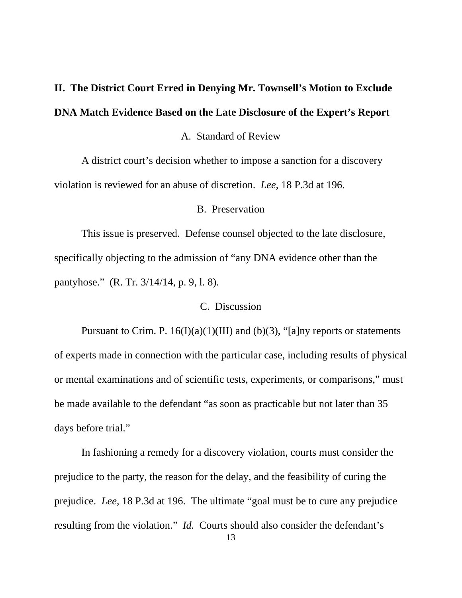# **II. The District Court Erred in Denying Mr. Townsell's Motion to Exclude DNA Match Evidence Based on the Late Disclosure of the Expert's Report**

### A. Standard of Review

A district court's decision whether to impose a sanction for a discovery violation is reviewed for an abuse of discretion. *Lee*, 18 P.3d at 196.

#### B. Preservation

This issue is preserved. Defense counsel objected to the late disclosure, specifically objecting to the admission of "any DNA evidence other than the pantyhose." (R. Tr. 3/14/14, p. 9, l. 8).

### C. Discussion

Pursuant to Crim. P.  $16(I)(a)(1)(III)$  and (b)(3), "[a]ny reports or statements of experts made in connection with the particular case, including results of physical or mental examinations and of scientific tests, experiments, or comparisons," must be made available to the defendant "as soon as practicable but not later than 35 days before trial."

In fashioning a remedy for a discovery violation, courts must consider the prejudice to the party, the reason for the delay, and the feasibility of curing the prejudice. *Lee*, 18 P.3d at 196. The ultimate "goal must be to cure any prejudice resulting from the violation." *Id.* Courts should also consider the defendant's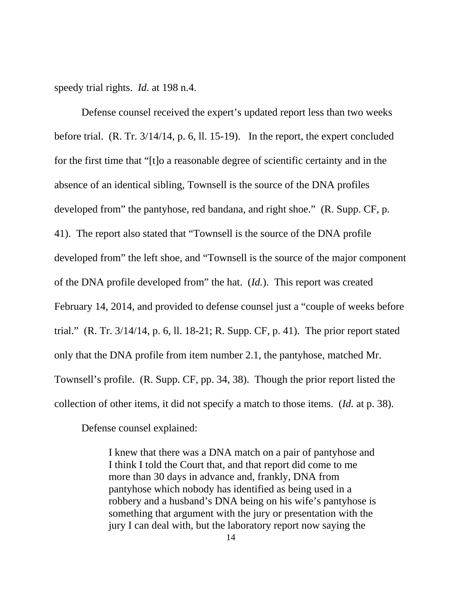speedy trial rights. *Id.* at 198 n.4.

Defense counsel received the expert's updated report less than two weeks before trial. (R. Tr. 3/14/14, p. 6, ll. 15-19). In the report, the expert concluded for the first time that "[t]o a reasonable degree of scientific certainty and in the absence of an identical sibling, Townsell is the source of the DNA profiles developed from" the pantyhose, red bandana, and right shoe." (R. Supp. CF, p. 41). The report also stated that "Townsell is the source of the DNA profile developed from" the left shoe, and "Townsell is the source of the major component of the DNA profile developed from" the hat. (*Id.*). This report was created February 14, 2014, and provided to defense counsel just a "couple of weeks before trial." (R. Tr. 3/14/14, p. 6, ll. 18-21; R. Supp. CF, p. 41). The prior report stated only that the DNA profile from item number 2.1, the pantyhose, matched Mr. Townsell's profile. (R. Supp. CF, pp. 34, 38). Though the prior report listed the collection of other items, it did not specify a match to those items. (*Id.* at p. 38).

Defense counsel explained:

I knew that there was a DNA match on a pair of pantyhose and I think I told the Court that, and that report did come to me more than 30 days in advance and, frankly, DNA from pantyhose which nobody has identified as being used in a robbery and a husband's DNA being on his wife's pantyhose is something that argument with the jury or presentation with the jury I can deal with, but the laboratory report now saying the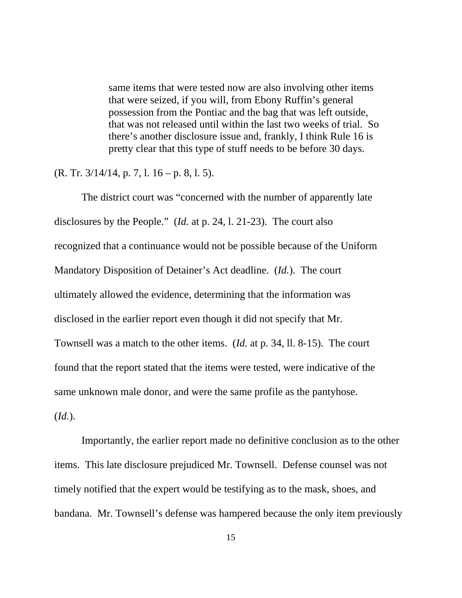same items that were tested now are also involving other items that were seized, if you will, from Ebony Ruffin's general possession from the Pontiac and the bag that was left outside, that was not released until within the last two weeks of trial. So there's another disclosure issue and, frankly, I think Rule 16 is pretty clear that this type of stuff needs to be before 30 days.

 $(R. Tr. 3/14/14, p. 7, 1. 16 - p. 8, 1. 5).$ 

The district court was "concerned with the number of apparently late disclosures by the People." (*Id.* at p. 24, l. 21-23). The court also recognized that a continuance would not be possible because of the Uniform Mandatory Disposition of Detainer's Act deadline. (*Id.*). The court ultimately allowed the evidence, determining that the information was disclosed in the earlier report even though it did not specify that Mr. Townsell was a match to the other items. (*Id.* at p. 34, ll. 8-15). The court found that the report stated that the items were tested, were indicative of the same unknown male donor, and were the same profile as the pantyhose. (*Id.*).

Importantly, the earlier report made no definitive conclusion as to the other items. This late disclosure prejudiced Mr. Townsell. Defense counsel was not timely notified that the expert would be testifying as to the mask, shoes, and bandana. Mr. Townsell's defense was hampered because the only item previously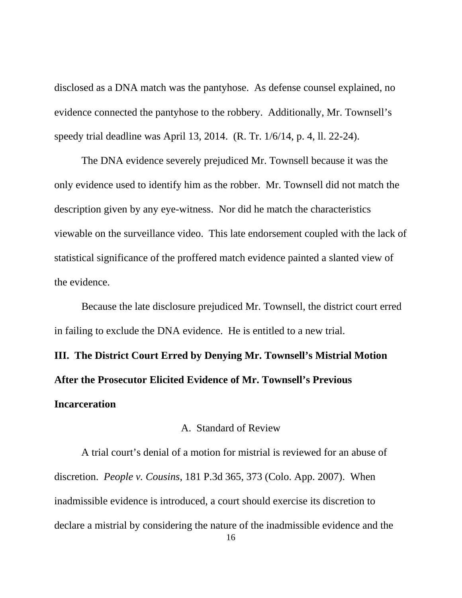disclosed as a DNA match was the pantyhose. As defense counsel explained, no evidence connected the pantyhose to the robbery. Additionally, Mr. Townsell's speedy trial deadline was April 13, 2014. (R. Tr. 1/6/14, p. 4, ll. 22-24).

The DNA evidence severely prejudiced Mr. Townsell because it was the only evidence used to identify him as the robber. Mr. Townsell did not match the description given by any eye-witness. Nor did he match the characteristics viewable on the surveillance video. This late endorsement coupled with the lack of statistical significance of the proffered match evidence painted a slanted view of the evidence.

Because the late disclosure prejudiced Mr. Townsell, the district court erred in failing to exclude the DNA evidence. He is entitled to a new trial.

**III. The District Court Erred by Denying Mr. Townsell's Mistrial Motion After the Prosecutor Elicited Evidence of Mr. Townsell's Previous Incarceration**

### A. Standard of Review

A trial court's denial of a motion for mistrial is reviewed for an abuse of discretion. *People v. Cousins*, 181 P.3d 365, 373 (Colo. App. 2007). When inadmissible evidence is introduced, a court should exercise its discretion to declare a mistrial by considering the nature of the inadmissible evidence and the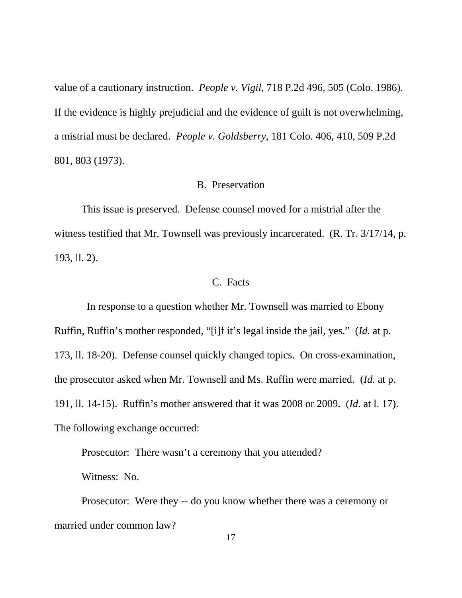value of a cautionary instruction. *People v. Vigil*, 718 P.2d 496, 505 (Colo. 1986). If the evidence is highly prejudicial and the evidence of guilt is not overwhelming, a mistrial must be declared. *People v. Goldsberry*, 181 Colo. 406, 410, 509 P.2d 801, 803 (1973).

### B. Preservation

This issue is preserved. Defense counsel moved for a mistrial after the witness testified that Mr. Townsell was previously incarcerated. (R. Tr. 3/17/14, p. 193, ll. 2).

### C. Facts

 In response to a question whether Mr. Townsell was married to Ebony Ruffin, Ruffin's mother responded, "[i]f it's legal inside the jail, yes." (*Id.* at p. 173, ll. 18-20). Defense counsel quickly changed topics. On cross-examination, the prosecutor asked when Mr. Townsell and Ms. Ruffin were married. (*Id.* at p. 191, ll. 14-15). Ruffin's mother answered that it was 2008 or 2009. (*Id.* at l. 17). The following exchange occurred:

Prosecutor: There wasn't a ceremony that you attended?

Witness: No.

Prosecutor: Were they -- do you know whether there was a ceremony or married under common law?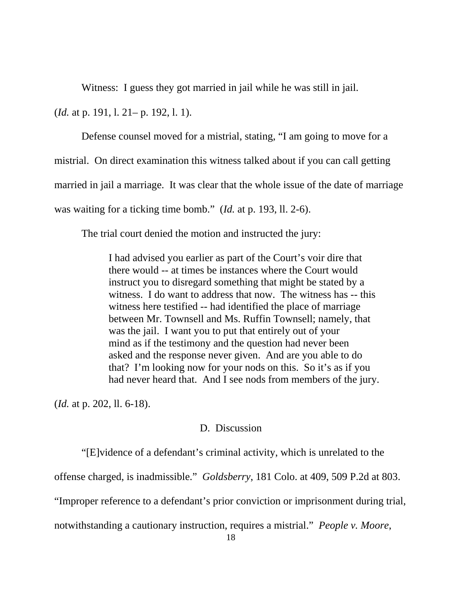Witness: I guess they got married in jail while he was still in jail.

(*Id.* at p. 191, l. 21– p. 192, l. 1).

Defense counsel moved for a mistrial, stating, "I am going to move for a mistrial. On direct examination this witness talked about if you can call getting married in jail a marriage. It was clear that the whole issue of the date of marriage was waiting for a ticking time bomb." (*Id.* at p. 193, ll. 2-6).

The trial court denied the motion and instructed the jury:

I had advised you earlier as part of the Court's voir dire that there would -- at times be instances where the Court would instruct you to disregard something that might be stated by a witness. I do want to address that now. The witness has -- this witness here testified -- had identified the place of marriage between Mr. Townsell and Ms. Ruffin Townsell; namely, that was the jail. I want you to put that entirely out of your mind as if the testimony and the question had never been asked and the response never given. And are you able to do that? I'm looking now for your nods on this. So it's as if you had never heard that. And I see nods from members of the jury.

(*Id.* at p. 202, ll. 6-18).

### D. Discussion

"[E]vidence of a defendant's criminal activity, which is unrelated to the

offense charged, is inadmissible." *Goldsberry*, 181 Colo. at 409, 509 P.2d at 803.

"Improper reference to a defendant's prior conviction or imprisonment during trial,

notwithstanding a cautionary instruction, requires a mistrial." *People v. Moore*,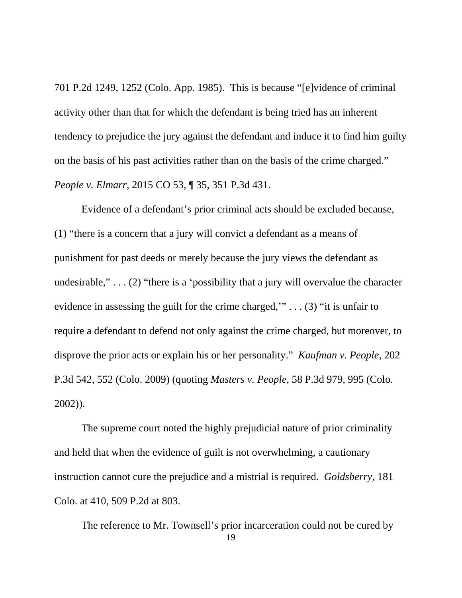701 P.2d 1249, 1252 (Colo. App. 1985). This is because "[e]vidence of criminal activity other than that for which the defendant is being tried has an inherent tendency to prejudice the jury against the defendant and induce it to find him guilty on the basis of his past activities rather than on the basis of the crime charged." *People v. Elmarr*, 2015 CO 53, ¶ 35, 351 P.3d 431.

Evidence of a defendant's prior criminal acts should be excluded because, (1) "there is a concern that a jury will convict a defendant as a means of punishment for past deeds or merely because the jury views the defendant as undesirable,"... $(2)$  "there is a 'possibility that a jury will overvalue the character evidence in assessing the guilt for the crime charged," $\ldots$  (3) "it is unfair to require a defendant to defend not only against the crime charged, but moreover, to disprove the prior acts or explain his or her personality." *Kaufman v. People*, 202 P.3d 542, 552 (Colo. 2009) (quoting *Masters v. People,* 58 P.3d 979, 995 (Colo. 2002)).

The supreme court noted the highly prejudicial nature of prior criminality and held that when the evidence of guilt is not overwhelming, a cautionary instruction cannot cure the prejudice and a mistrial is required. *Goldsberry*, 181 Colo. at 410, 509 P.2d at 803.

19 The reference to Mr. Townsell's prior incarceration could not be cured by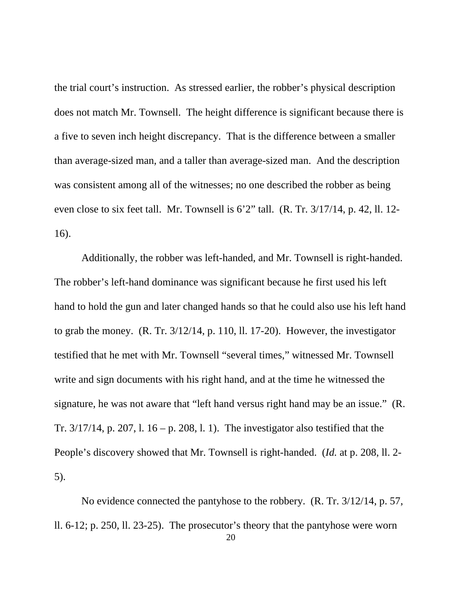the trial court's instruction. As stressed earlier, the robber's physical description does not match Mr. Townsell. The height difference is significant because there is a five to seven inch height discrepancy. That is the difference between a smaller than average-sized man, and a taller than average-sized man. And the description was consistent among all of the witnesses; no one described the robber as being even close to six feet tall. Mr. Townsell is 6'2" tall. (R. Tr. 3/17/14, p. 42, ll. 12- 16).

Additionally, the robber was left-handed, and Mr. Townsell is right-handed. The robber's left-hand dominance was significant because he first used his left hand to hold the gun and later changed hands so that he could also use his left hand to grab the money. (R. Tr. 3/12/14, p. 110, ll. 17-20). However, the investigator testified that he met with Mr. Townsell "several times," witnessed Mr. Townsell write and sign documents with his right hand, and at the time he witnessed the signature, he was not aware that "left hand versus right hand may be an issue." (R. Tr.  $3/17/14$ , p. 207, l.  $16 - p$ . 208, l. 1). The investigator also testified that the People's discovery showed that Mr. Townsell is right-handed. (*Id.* at p. 208, ll. 2- 5).

No evidence connected the pantyhose to the robbery. (R. Tr. 3/12/14, p. 57, ll. 6-12; p. 250, ll. 23-25). The prosecutor's theory that the pantyhose were worn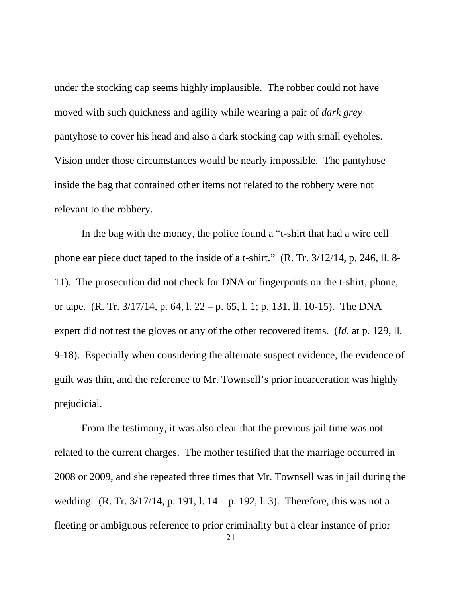under the stocking cap seems highly implausible. The robber could not have moved with such quickness and agility while wearing a pair of *dark grey* pantyhose to cover his head and also a dark stocking cap with small eyeholes. Vision under those circumstances would be nearly impossible. The pantyhose inside the bag that contained other items not related to the robbery were not relevant to the robbery.

In the bag with the money, the police found a "t-shirt that had a wire cell phone ear piece duct taped to the inside of a t-shirt." (R. Tr. 3/12/14, p. 246, ll. 8- 11). The prosecution did not check for DNA or fingerprints on the t-shirt, phone, or tape. (R. Tr. 3/17/14, p. 64, l. 22 – p. 65, l. 1; p. 131, ll. 10-15). The DNA expert did not test the gloves or any of the other recovered items. (*Id.* at p. 129, ll. 9-18). Especially when considering the alternate suspect evidence, the evidence of guilt was thin, and the reference to Mr. Townsell's prior incarceration was highly prejudicial.

From the testimony, it was also clear that the previous jail time was not related to the current charges. The mother testified that the marriage occurred in 2008 or 2009, and she repeated three times that Mr. Townsell was in jail during the wedding. (R. Tr. 3/17/14, p. 191, l. 14 – p. 192, l. 3). Therefore, this was not a fleeting or ambiguous reference to prior criminality but a clear instance of prior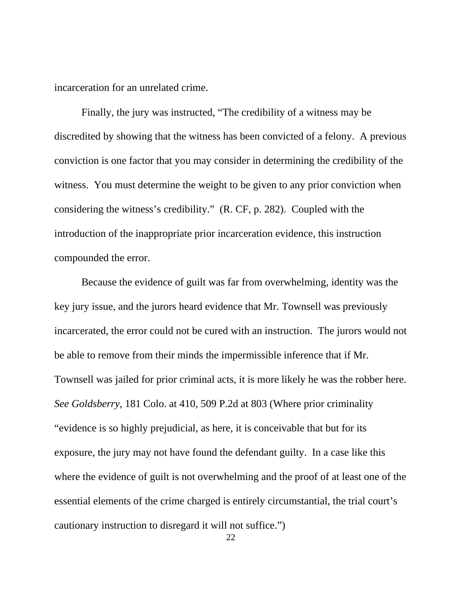incarceration for an unrelated crime.

Finally, the jury was instructed, "The credibility of a witness may be discredited by showing that the witness has been convicted of a felony. A previous conviction is one factor that you may consider in determining the credibility of the witness. You must determine the weight to be given to any prior conviction when considering the witness's credibility." (R. CF, p. 282). Coupled with the introduction of the inappropriate prior incarceration evidence, this instruction compounded the error.

Because the evidence of guilt was far from overwhelming, identity was the key jury issue, and the jurors heard evidence that Mr. Townsell was previously incarcerated, the error could not be cured with an instruction. The jurors would not be able to remove from their minds the impermissible inference that if Mr. Townsell was jailed for prior criminal acts, it is more likely he was the robber here. *See Goldsberry*, 181 Colo. at 410, 509 P.2d at 803 (Where prior criminality "evidence is so highly prejudicial, as here, it is conceivable that but for its exposure, the jury may not have found the defendant guilty. In a case like this where the evidence of guilt is not overwhelming and the proof of at least one of the essential elements of the crime charged is entirely circumstantial, the trial court's cautionary instruction to disregard it will not suffice.")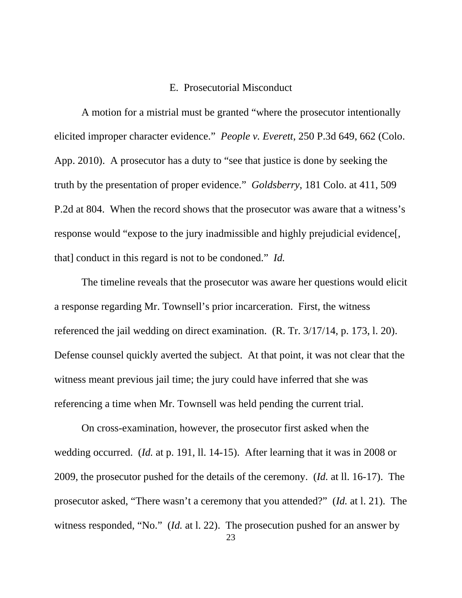### E. Prosecutorial Misconduct

A motion for a mistrial must be granted "where the prosecutor intentionally elicited improper character evidence." *People v. Everett*, 250 P.3d 649, 662 (Colo. App. 2010). A prosecutor has a duty to "see that justice is done by seeking the truth by the presentation of proper evidence." *Goldsberry*, 181 Colo. at 411, 509 P.2d at 804. When the record shows that the prosecutor was aware that a witness's response would "expose to the jury inadmissible and highly prejudicial evidence[, that] conduct in this regard is not to be condoned." *Id.*

The timeline reveals that the prosecutor was aware her questions would elicit a response regarding Mr. Townsell's prior incarceration. First, the witness referenced the jail wedding on direct examination. (R. Tr. 3/17/14, p. 173, l. 20). Defense counsel quickly averted the subject. At that point, it was not clear that the witness meant previous jail time; the jury could have inferred that she was referencing a time when Mr. Townsell was held pending the current trial.

On cross-examination, however, the prosecutor first asked when the wedding occurred. (*Id.* at p. 191, ll. 14-15). After learning that it was in 2008 or 2009, the prosecutor pushed for the details of the ceremony. (*Id.* at ll. 16-17). The prosecutor asked, "There wasn't a ceremony that you attended?" (*Id.* at l. 21). The witness responded, "No." (*Id.* at l. 22). The prosecution pushed for an answer by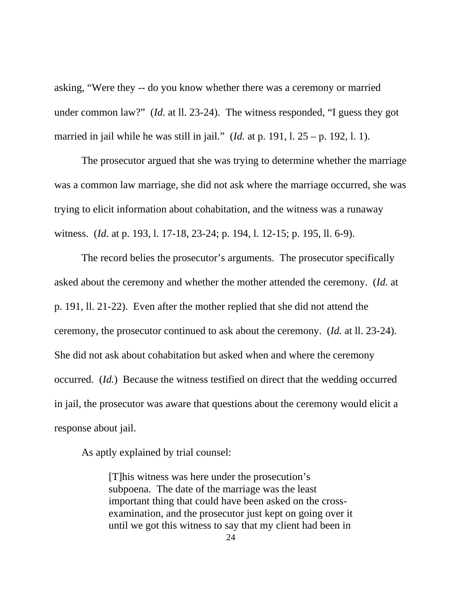asking, "Were they -- do you know whether there was a ceremony or married under common law?" (*Id.* at ll. 23-24). The witness responded, "I guess they got married in jail while he was still in jail." (*Id.* at p. 191, l. 25 – p. 192, l. 1).

The prosecutor argued that she was trying to determine whether the marriage was a common law marriage, she did not ask where the marriage occurred, she was trying to elicit information about cohabitation, and the witness was a runaway witness. (*Id.* at p. 193, l. 17-18, 23-24; p. 194, l. 12-15; p. 195, ll. 6-9).

The record belies the prosecutor's arguments. The prosecutor specifically asked about the ceremony and whether the mother attended the ceremony. (*Id.* at p. 191, ll. 21-22). Even after the mother replied that she did not attend the ceremony, the prosecutor continued to ask about the ceremony. (*Id.* at ll. 23-24). She did not ask about cohabitation but asked when and where the ceremony occurred. (*Id.*) Because the witness testified on direct that the wedding occurred in jail, the prosecutor was aware that questions about the ceremony would elicit a response about jail.

As aptly explained by trial counsel:

[T]his witness was here under the prosecution's subpoena. The date of the marriage was the least important thing that could have been asked on the crossexamination, and the prosecutor just kept on going over it until we got this witness to say that my client had been in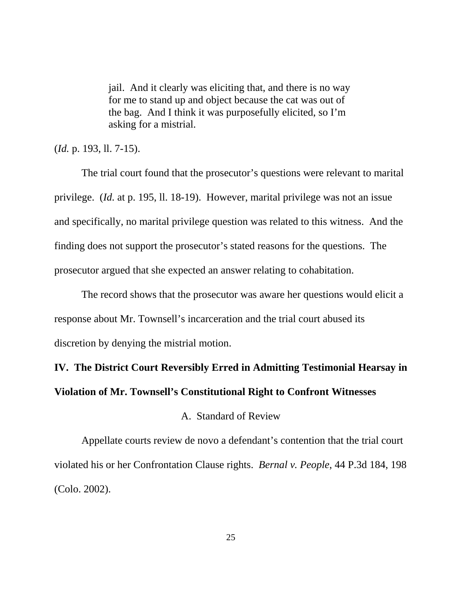jail. And it clearly was eliciting that, and there is no way for me to stand up and object because the cat was out of the bag. And I think it was purposefully elicited, so I'm asking for a mistrial.

(*Id.* p. 193, ll. 7-15).

The trial court found that the prosecutor's questions were relevant to marital privilege. (*Id.* at p. 195, ll. 18-19). However, marital privilege was not an issue and specifically, no marital privilege question was related to this witness. And the finding does not support the prosecutor's stated reasons for the questions. The prosecutor argued that she expected an answer relating to cohabitation.

The record shows that the prosecutor was aware her questions would elicit a response about Mr. Townsell's incarceration and the trial court abused its discretion by denying the mistrial motion.

# **IV. The District Court Reversibly Erred in Admitting Testimonial Hearsay in Violation of Mr. Townsell's Constitutional Right to Confront Witnesses**

### A. Standard of Review

Appellate courts review de novo a defendant's contention that the trial court violated his or her Confrontation Clause rights. *Bernal v. People*, 44 P.3d 184, 198 (Colo. 2002).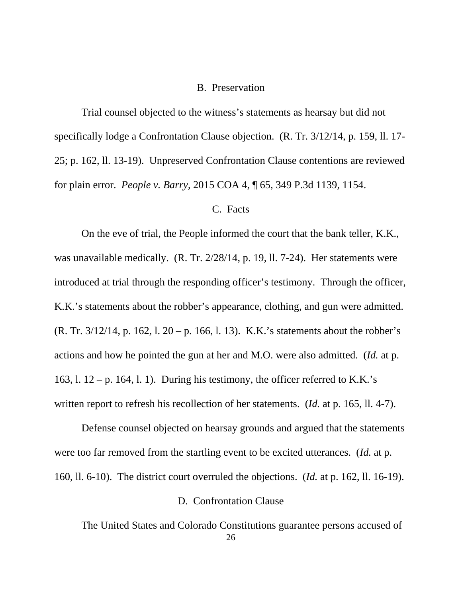### B. Preservation

Trial counsel objected to the witness's statements as hearsay but did not specifically lodge a Confrontation Clause objection. (R. Tr. 3/12/14, p. 159, ll. 17- 25; p. 162, ll. 13-19). Unpreserved Confrontation Clause contentions are reviewed for plain error. *People v. Barry*, 2015 COA 4, ¶ 65, 349 P.3d 1139, 1154.

### C. Facts

On the eve of trial, the People informed the court that the bank teller, K.K., was unavailable medically. (R. Tr. 2/28/14, p. 19, ll. 7-24). Her statements were introduced at trial through the responding officer's testimony. Through the officer, K.K.'s statements about the robber's appearance, clothing, and gun were admitted. (R. Tr. 3/12/14, p. 162, l. 20 – p. 166, l. 13). K.K.'s statements about the robber's actions and how he pointed the gun at her and M.O. were also admitted. (*Id.* at p. 163, l.  $12 - p$ . 164, l. 1). During his testimony, the officer referred to K.K.'s written report to refresh his recollection of her statements. (*Id.* at p. 165, ll. 4-7).

Defense counsel objected on hearsay grounds and argued that the statements were too far removed from the startling event to be excited utterances. (*Id.* at p. 160, ll. 6-10). The district court overruled the objections. (*Id.* at p. 162, ll. 16-19).

### D. Confrontation Clause

26 The United States and Colorado Constitutions guarantee persons accused of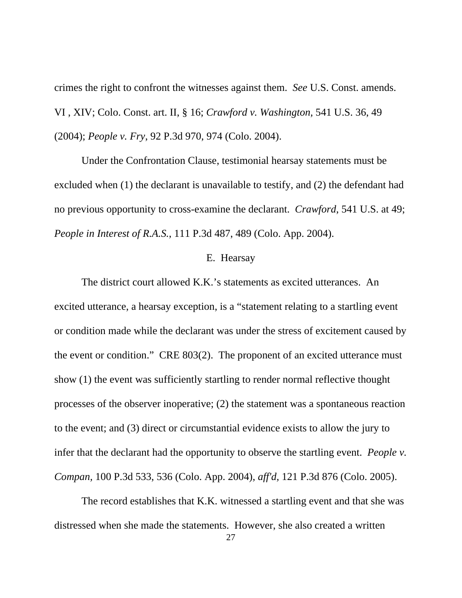crimes the right to confront the witnesses against them. *See* U.S. Const. amends. VI , XIV; Colo. Const. art. II, § 16; *Crawford v. Washington,* 541 U.S. 36, 49 (2004); *People v. Fry*, 92 P.3d 970, 974 (Colo. 2004).

Under the Confrontation Clause, testimonial hearsay statements must be excluded when (1) the declarant is unavailable to testify, and (2) the defendant had no previous opportunity to cross-examine the declarant. *Crawford*, 541 U.S. at 49; *People in Interest of R.A.S.*, 111 P.3d 487, 489 (Colo. App. 2004).

#### E. Hearsay

The district court allowed K.K.'s statements as excited utterances. An excited utterance, a hearsay exception, is a "statement relating to a startling event or condition made while the declarant was under the stress of excitement caused by the event or condition." CRE 803(2). The proponent of an excited utterance must show (1) the event was sufficiently startling to render normal reflective thought processes of the observer inoperative; (2) the statement was a spontaneous reaction to the event; and (3) direct or circumstantial evidence exists to allow the jury to infer that the declarant had the opportunity to observe the startling event. *People v. Compan,* 100 P.3d 533, 536 (Colo. App. 2004), *aff'd,* 121 P.3d 876 (Colo. 2005).

The record establishes that K.K. witnessed a startling event and that she was distressed when she made the statements. However, she also created a written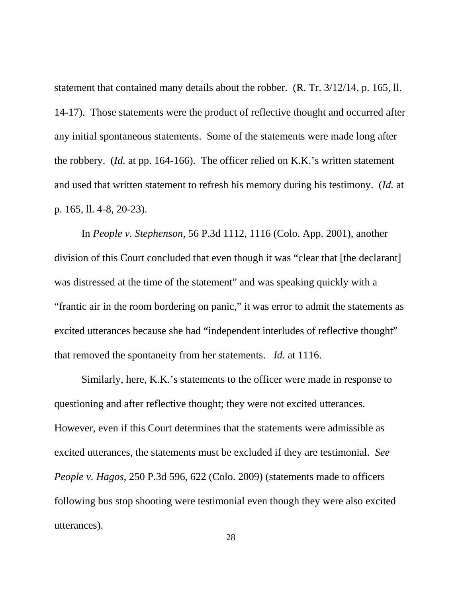statement that contained many details about the robber. (R. Tr. 3/12/14, p. 165, ll. 14-17). Those statements were the product of reflective thought and occurred after any initial spontaneous statements. Some of the statements were made long after the robbery. (*Id.* at pp. 164-166). The officer relied on K.K.'s written statement and used that written statement to refresh his memory during his testimony. (*Id.* at p. 165, ll. 4-8, 20-23).

In *People v. Stephenson,* 56 P.3d 1112, 1116 (Colo. App. 2001), another division of this Court concluded that even though it was "clear that [the declarant] was distressed at the time of the statement" and was speaking quickly with a "frantic air in the room bordering on panic," it was error to admit the statements as excited utterances because she had "independent interludes of reflective thought" that removed the spontaneity from her statements. *Id.* [at 1116.](https://1.next.westlaw.com/Link/Document/FullText?findType=Y&serNum=2001467640&pubNum=0004645&originatingDoc=Ifad8af0070df11e48c09e471b722858c&refType=RP&fi=co_pp_sp_4645_1116&originationContext=document&transitionType=DocumentItem&contextData=(sc.Search)#co_pp_sp_4645_1116)

Similarly, here, K.K.'s statements to the officer were made in response to questioning and after reflective thought; they were not excited utterances. However, even if this Court determines that the statements were admissible as excited utterances, the statements must be excluded if they are testimonial. *See People v. Hagos*, 250 P.3d 596, 622 (Colo. 2009) (statements made to officers following bus stop shooting were testimonial even though they were also excited utterances).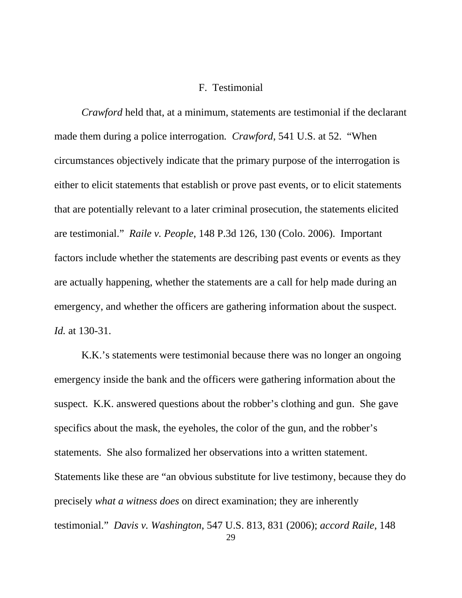### F. Testimonial

*Crawford* held that, at a minimum, statements are testimonial if the declarant made them during a police interrogation*. Crawford*, 541 U.S. at 52. "When circumstances objectively indicate that the primary purpose of the interrogation is either to elicit statements that establish or prove past events, or to elicit statements that are potentially relevant to a later criminal prosecution, the statements elicited are testimonial." *Raile v. People*, 148 P.3d 126, 130 (Colo. 2006). Important factors include whether the statements are describing past events or events as they are actually happening, whether the statements are a call for help made during an emergency, and whether the officers are gathering information about the suspect. *Id.* at 130-31.

K.K.'s statements were testimonial because there was no longer an ongoing emergency inside the bank and the officers were gathering information about the suspect. K.K. answered questions about the robber's clothing and gun. She gave specifics about the mask, the eyeholes, the color of the gun, and the robber's statements. She also formalized her observations into a written statement. Statements like these are "an obvious substitute for live testimony, because they do precisely *what a witness does* on direct examination; they are inherently testimonial." *Davis v. Washington*, 547 U.S. 813, 831 (2006); *accord Raile*, 148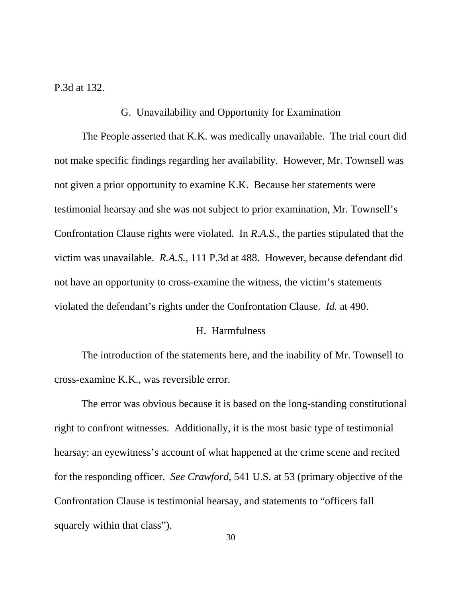P.3d at 132.

### G. Unavailability and Opportunity for Examination

The People asserted that K.K. was medically unavailable. The trial court did not make specific findings regarding her availability. However, Mr. Townsell was not given a prior opportunity to examine K.K. Because her statements were testimonial hearsay and she was not subject to prior examination, Mr. Townsell's Confrontation Clause rights were violated. In *R.A.S.*, the parties stipulated that the victim was unavailable. *R.A.S.*, 111 P.3d at 488. However, because defendant did not have an opportunity to cross-examine the witness, the victim's statements violated the defendant's rights under the Confrontation Clause. *Id.* at 490.

### H. Harmfulness

The introduction of the statements here, and the inability of Mr. Townsell to cross-examine K.K., was reversible error.

The error was obvious because it is based on the long-standing constitutional right to confront witnesses. Additionally, it is the most basic type of testimonial hearsay: an eyewitness's account of what happened at the crime scene and recited for the responding officer. *See Crawford*, 541 U.S. at 53 (primary objective of the Confrontation Clause is testimonial hearsay, and statements to "officers fall squarely within that class").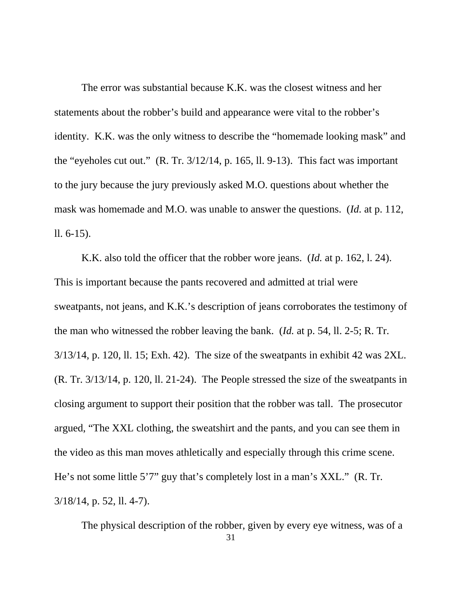The error was substantial because K.K. was the closest witness and her statements about the robber's build and appearance were vital to the robber's identity. K.K. was the only witness to describe the "homemade looking mask" and the "eyeholes cut out." (R. Tr. 3/12/14, p. 165, ll. 9-13). This fact was important to the jury because the jury previously asked M.O. questions about whether the mask was homemade and M.O. was unable to answer the questions. (*Id.* at p. 112, ll. 6-15).

K.K. also told the officer that the robber wore jeans. (*Id.* at p. 162, l. 24). This is important because the pants recovered and admitted at trial were sweatpants, not jeans, and K.K.'s description of jeans corroborates the testimony of the man who witnessed the robber leaving the bank. (*Id.* at p. 54, ll. 2-5; R. Tr. 3/13/14, p. 120, ll. 15; Exh. 42). The size of the sweatpants in exhibit 42 was 2XL. (R. Tr. 3/13/14, p. 120, ll. 21-24). The People stressed the size of the sweatpants in closing argument to support their position that the robber was tall. The prosecutor argued, "The XXL clothing, the sweatshirt and the pants, and you can see them in the video as this man moves athletically and especially through this crime scene. He's not some little 5'7" guy that's completely lost in a man's XXL." (R. Tr. 3/18/14, p. 52, ll. 4-7).

The physical description of the robber, given by every eye witness, was of a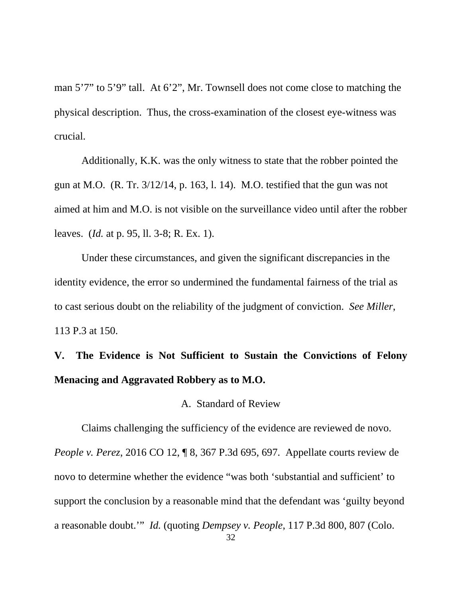man 5'7" to 5'9" tall. At 6'2", Mr. Townsell does not come close to matching the physical description. Thus, the cross-examination of the closest eye-witness was crucial.

Additionally, K.K. was the only witness to state that the robber pointed the gun at M.O. (R. Tr. 3/12/14, p. 163, l. 14). M.O. testified that the gun was not aimed at him and M.O. is not visible on the surveillance video until after the robber leaves. (*Id.* at p. 95, ll. 3-8; R. Ex. 1).

Under these circumstances, and given the significant discrepancies in the identity evidence, the error so undermined the fundamental fairness of the trial as to cast serious doubt on the reliability of the judgment of conviction. *See Miller*, 113 P.3 at 150.

# **V. The Evidence is Not Sufficient to Sustain the Convictions of Felony Menacing and Aggravated Robbery as to M.O.**

### A. Standard of Review

Claims challenging the sufficiency of the evidence are reviewed de novo. *People v. Perez*, 2016 CO 12, ¶ 8, 367 P.3d 695, 697. Appellate courts review de novo to determine whether the evidence "was both 'substantial and sufficient' to support the conclusion by a reasonable mind that the defendant was 'guilty beyond a reasonable doubt.'" *Id.* (quoting *Dempsey v. People*, 117 P.3d 800, 807 (Colo.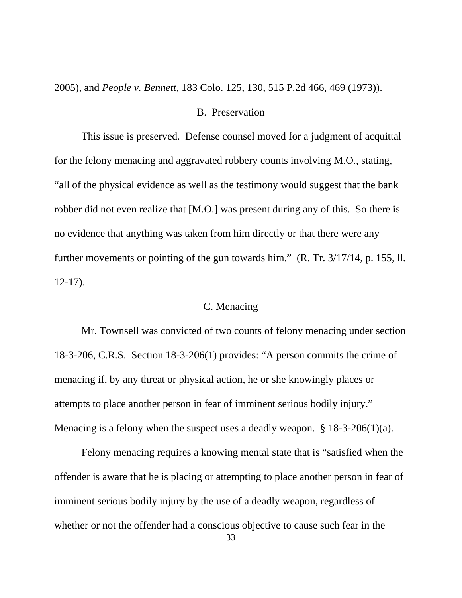2005), and *People v. Bennett*, 183 Colo. 125, 130, 515 P.2d 466, 469 (1973)).

### B. Preservation

This issue is preserved. Defense counsel moved for a judgment of acquittal for the felony menacing and aggravated robbery counts involving M.O., stating, "all of the physical evidence as well as the testimony would suggest that the bank robber did not even realize that [M.O.] was present during any of this. So there is no evidence that anything was taken from him directly or that there were any further movements or pointing of the gun towards him." (R. Tr. 3/17/14, p. 155, ll. 12-17).

### C. Menacing

Mr. Townsell was convicted of two counts of felony menacing under section 18-3-206, C.R.S. Section 18-3-206(1) provides: "A person commits the crime of menacing if, by any threat or physical action, he or she knowingly places or attempts to place another person in fear of imminent serious bodily injury." Menacing is a felony when the suspect uses a deadly weapon. § 18-3-206(1)(a).

Felony menacing requires a knowing mental state that is "satisfied when the offender is aware that he is placing or attempting to place another person in fear of imminent serious bodily injury by the use of a deadly weapon, regardless of whether or not the offender had a conscious objective to cause such fear in the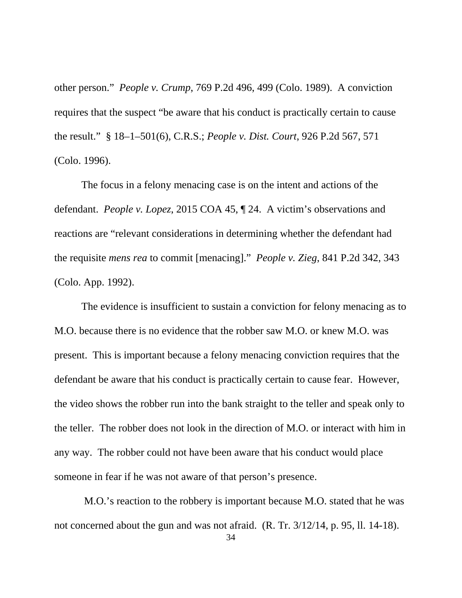other person." *People v. Crump*, 769 P.2d 496, 499 (Colo. 1989). A conviction requires that the suspect "be aware that his conduct is practically certain to cause the result." § 18–1–501(6), C.R.S.; *People v. Dist. Court*, 926 P.2d 567, 571 (Colo. 1996).

The focus in a felony menacing case is on the intent and actions of the defendant. *People v. Lopez*, 2015 COA 45, ¶ 24. A victim's observations and reactions are "relevant considerations in determining whether the defendant had the requisite *mens rea* to commit [menacing]." *People v. Zieg*, 841 P.2d 342, 343 (Colo. App. 1992).

The evidence is insufficient to sustain a conviction for felony menacing as to M.O. because there is no evidence that the robber saw M.O. or knew M.O. was present. This is important because a felony menacing conviction requires that the defendant be aware that his conduct is practically certain to cause fear. However, the video shows the robber run into the bank straight to the teller and speak only to the teller. The robber does not look in the direction of M.O. or interact with him in any way. The robber could not have been aware that his conduct would place someone in fear if he was not aware of that person's presence.

M.O.'s reaction to the robbery is important because M.O. stated that he was not concerned about the gun and was not afraid. (R. Tr. 3/12/14, p. 95, ll. 14-18).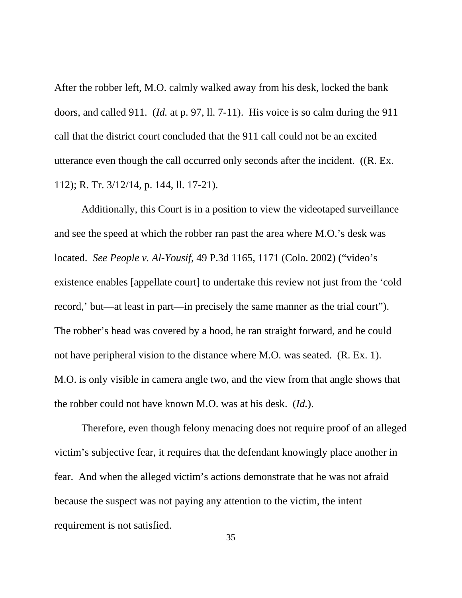After the robber left, M.O. calmly walked away from his desk, locked the bank doors, and called 911. (*Id.* at p. 97, ll. 7-11). His voice is so calm during the 911 call that the district court concluded that the 911 call could not be an excited utterance even though the call occurred only seconds after the incident. ((R. Ex. 112); R. Tr. 3/12/14, p. 144, ll. 17-21).

Additionally, this Court is in a position to view the videotaped surveillance and see the speed at which the robber ran past the area where M.O.'s desk was located. *See People v. Al-Yousif*, 49 P.3d 1165, 1171 (Colo. 2002) ("video's existence enables [appellate court] to undertake this review not just from the 'cold record,' but—at least in part—in precisely the same manner as the trial court"). The robber's head was covered by a hood, he ran straight forward, and he could not have peripheral vision to the distance where M.O. was seated. (R. Ex. 1). M.O. is only visible in camera angle two, and the view from that angle shows that the robber could not have known M.O. was at his desk. (*Id.*).

Therefore, even though felony menacing does not require proof of an alleged victim's subjective fear, it requires that the defendant knowingly place another in fear. And when the alleged victim's actions demonstrate that he was not afraid because the suspect was not paying any attention to the victim, the intent requirement is not satisfied.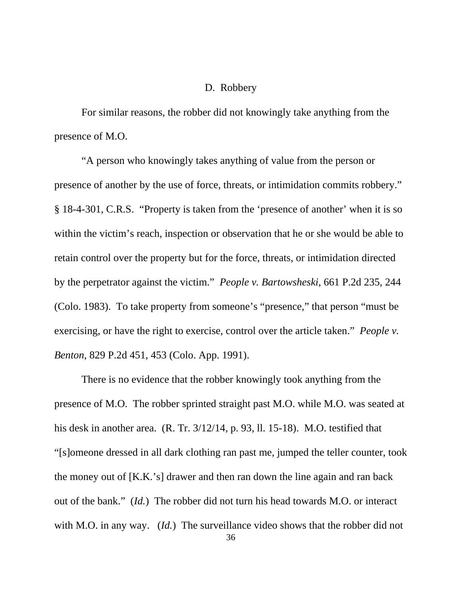### D. Robbery

For similar reasons, the robber did not knowingly take anything from the presence of M.O.

"A person who knowingly takes anything of value from the person or presence of another by the use of force, threats, or intimidation commits robbery." § 18-4-301, C.R.S. "Property is taken from the 'presence of another' when it is so within the victim's reach, inspection or observation that he or she would be able to retain control over the property but for the force, threats, or intimidation directed by the perpetrator against the victim." *People v. Bartowsheski*, 661 P.2d 235, 244 (Colo. 1983). To take property from someone's "presence," that person "must be exercising, or have the right to exercise, control over the article taken." *People v. Benton*, 829 P.2d 451, 453 (Colo. App. 1991).

There is no evidence that the robber knowingly took anything from the presence of M.O. The robber sprinted straight past M.O. while M.O. was seated at his desk in another area. (R. Tr.  $3/12/14$ , p. 93, ll. 15-18). M.O. testified that "[s]omeone dressed in all dark clothing ran past me, jumped the teller counter, took the money out of [K.K.'s] drawer and then ran down the line again and ran back out of the bank." (*Id.*) The robber did not turn his head towards M.O. or interact with M.O. in any way. (*Id.*) The surveillance video shows that the robber did not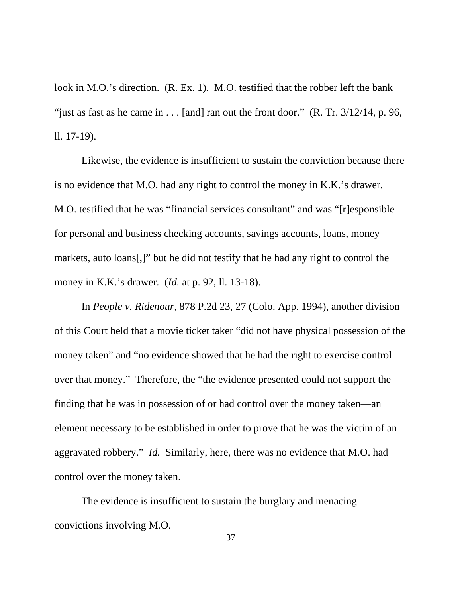look in M.O.'s direction. (R. Ex. 1). M.O. testified that the robber left the bank "just as fast as he came in  $\dots$  [and] ran out the front door." (R. Tr. 3/12/14, p. 96, ll. 17-19).

Likewise, the evidence is insufficient to sustain the conviction because there is no evidence that M.O. had any right to control the money in K.K.'s drawer. M.O. testified that he was "financial services consultant" and was "[r]esponsible for personal and business checking accounts, savings accounts, loans, money markets, auto loans[,]" but he did not testify that he had any right to control the money in K.K.'s drawer. (*Id.* at p. 92, ll. 13-18).

In *People v. Ridenour*, 878 P.2d 23, 27 (Colo. App. 1994), another division of this Court held that a movie ticket taker "did not have physical possession of the money taken" and "no evidence showed that he had the right to exercise control over that money." Therefore, the "the evidence presented could not support the finding that he was in possession of or had control over the money taken—an element necessary to be established in order to prove that he was the victim of an aggravated robbery." *Id.* Similarly, here, there was no evidence that M.O. had control over the money taken.

The evidence is insufficient to sustain the burglary and menacing convictions involving M.O.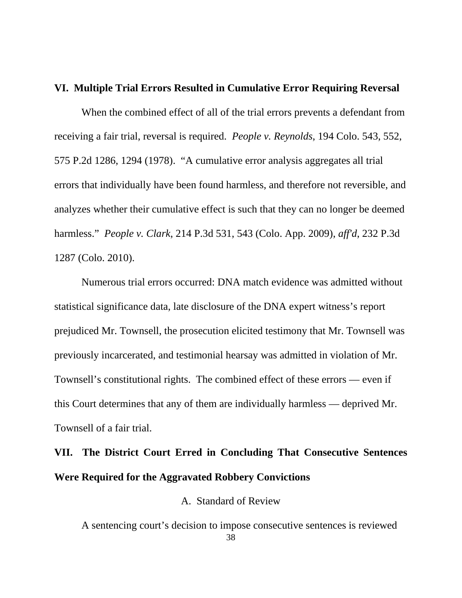### **VI. Multiple Trial Errors Resulted in Cumulative Error Requiring Reversal**

When the combined effect of all of the trial errors prevents a defendant from receiving a fair trial, reversal is required. *People v. Reynolds*, 194 Colo. 543, 552, 575 P.2d 1286, 1294 (1978). "A cumulative error analysis aggregates all trial errors that individually have been found harmless, and therefore not reversible, and analyzes whether their cumulative effect is such that they can no longer be deemed harmless." *People v. Clark*, 214 P.3d 531, 543 (Colo. App. 2009), *aff'd*, 232 P.3d 1287 (Colo. 2010).

Numerous trial errors occurred: DNA match evidence was admitted without statistical significance data, late disclosure of the DNA expert witness's report prejudiced Mr. Townsell, the prosecution elicited testimony that Mr. Townsell was previously incarcerated, and testimonial hearsay was admitted in violation of Mr. Townsell's constitutional rights. The combined effect of these errors — even if this Court determines that any of them are individually harmless — deprived Mr. Townsell of a fair trial.

## **VII. The District Court Erred in Concluding That Consecutive Sentences Were Required for the Aggravated Robbery Convictions**

A. Standard of Review

38 A sentencing court's decision to impose consecutive sentences is reviewed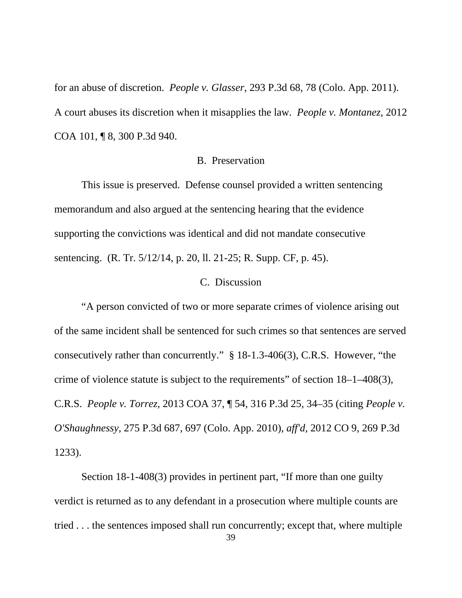for an abuse of discretion. *People v. Glasser*, 293 P.3d 68, 78 (Colo. App. 2011). A court abuses its discretion when it misapplies the law. *People v. Montanez*, 2012 COA 101, ¶ 8, 300 P.3d 940.

### B. Preservation

This issue is preserved. Defense counsel provided a written sentencing memorandum and also argued at the sentencing hearing that the evidence supporting the convictions was identical and did not mandate consecutive sentencing. (R. Tr. 5/12/14, p. 20, ll. 21-25; R. Supp. CF, p. 45).

### C. Discussion

"A person convicted of two or more separate crimes of violence arising out of the same incident shall be sentenced for such crimes so that sentences are served consecutively rather than concurrently." § 18-1.3-406(3), C.R.S. However, "the crime of violence statute is subject to the requirements" of section 18–1–408(3), C.R.S. *People v. Torrez*, 2013 COA 37, ¶ 54, 316 P.3d 25, 34–35 (citing *People v. O'Shaughnessy,* 275 P.3d 687, 697 (Colo. App. 2010), *aff'd,* 2012 CO 9, 269 P.3d 1233).

Section 18-1-408(3) provides in pertinent part, "If more than one guilty verdict is returned as to any defendant in a prosecution where multiple counts are tried . . . the sentences imposed shall run concurrently; except that, where multiple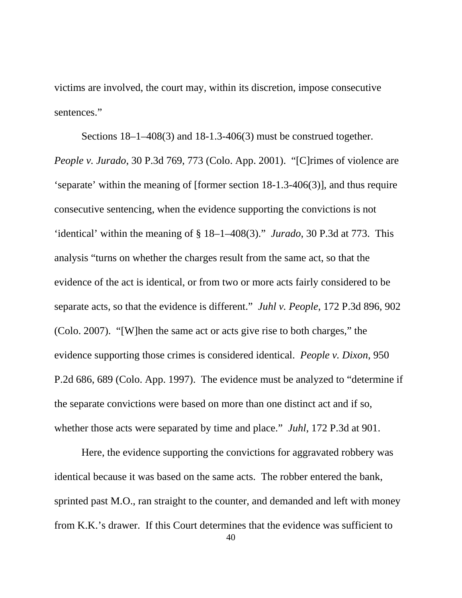victims are involved, the court may, within its discretion, impose consecutive sentences."

Sections 18–1–408(3) and 18-1.3-406(3) must be construed together. *People v. Jurado*, 30 P.3d 769, 773 (Colo. App. 2001). "[C]rimes of violence are 'separate' within the meaning of [former section 18-1.3-406(3)], and thus require consecutive sentencing, when the evidence supporting the convictions is not 'identical' within the meaning of § 18–1–408(3)." *Jurado*, 30 P.3d at 773. This analysis "turns on whether the charges result from the same act, so that the evidence of the act is identical, or from two or more acts fairly considered to be separate acts, so that the evidence is different." *Juhl v. People*, 172 P.3d 896, 902 (Colo. 2007). "[W]hen the same act or acts give rise to both charges," the evidence supporting those crimes is considered identical. *People v. Dixon*, 950 P.2d 686, 689 (Colo. App. 1997). The evidence must be analyzed to "determine if the separate convictions were based on more than one distinct act and if so, whether those acts were separated by time and place." *Juhl*, 172 P.3d at 901.

Here, the evidence supporting the convictions for aggravated robbery was identical because it was based on the same acts. The robber entered the bank, sprinted past M.O., ran straight to the counter, and demanded and left with money from K.K.'s drawer. If this Court determines that the evidence was sufficient to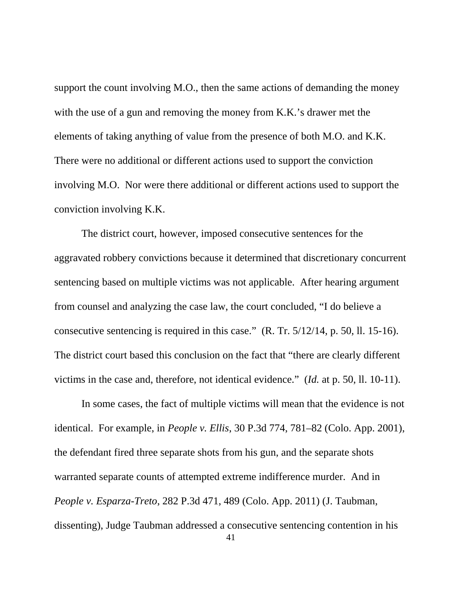support the count involving M.O., then the same actions of demanding the money with the use of a gun and removing the money from K.K.'s drawer met the elements of taking anything of value from the presence of both M.O. and K.K. There were no additional or different actions used to support the conviction involving M.O. Nor were there additional or different actions used to support the conviction involving K.K.

The district court, however, imposed consecutive sentences for the aggravated robbery convictions because it determined that discretionary concurrent sentencing based on multiple victims was not applicable. After hearing argument from counsel and analyzing the case law, the court concluded, "I do believe a consecutive sentencing is required in this case." (R. Tr. 5/12/14, p. 50, ll. 15-16). The district court based this conclusion on the fact that "there are clearly different victims in the case and, therefore, not identical evidence." (*Id.* at p. 50, ll. 10-11).

In some cases, the fact of multiple victims will mean that the evidence is not identical. For example, in *People v. Ellis*, 30 P.3d 774, 781–82 (Colo. App. 2001), the defendant fired three separate shots from his gun, and the separate shots warranted separate counts of attempted extreme indifference murder. And in *People v. Esparza-Treto*, 282 P.3d 471, 489 (Colo. App. 2011) (J. Taubman, dissenting), Judge Taubman addressed a consecutive sentencing contention in his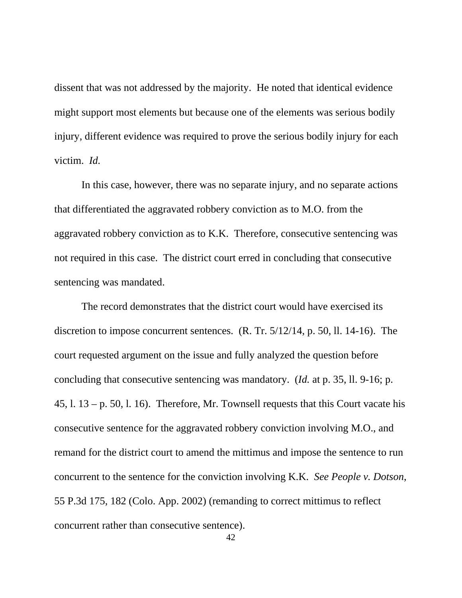dissent that was not addressed by the majority. He noted that identical evidence might support most elements but because one of the elements was serious bodily injury, different evidence was required to prove the serious bodily injury for each victim. *Id.*

In this case, however, there was no separate injury, and no separate actions that differentiated the aggravated robbery conviction as to M.O. from the aggravated robbery conviction as to K.K. Therefore, consecutive sentencing was not required in this case. The district court erred in concluding that consecutive sentencing was mandated.

The record demonstrates that the district court would have exercised its discretion to impose concurrent sentences. (R. Tr. 5/12/14, p. 50, ll. 14-16). The court requested argument on the issue and fully analyzed the question before concluding that consecutive sentencing was mandatory. (*Id.* at p. 35, ll. 9-16; p.  $45, 1, 13 - p. 50, 1, 16$ . Therefore, Mr. Townsell requests that this Court vacate his consecutive sentence for the aggravated robbery conviction involving M.O., and remand for the district court to amend the mittimus and impose the sentence to run concurrent to the sentence for the conviction involving K.K. *See People v. Dotson*, 55 P.3d 175, 182 (Colo. App. 2002) (remanding to correct mittimus to reflect concurrent rather than consecutive sentence).